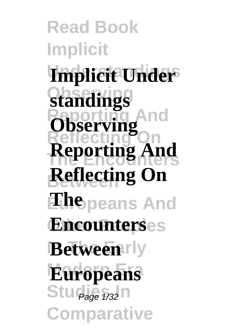**Read Book Implicit Implicit Under Standings Reporting And Reflecting On Reporting And Reflecting On Ethe** peans And **Encounterses Between** rly **Europeans Studies** 1/32 **Comparative Observing**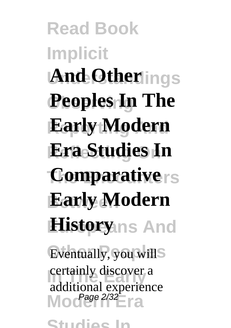**Read Book Implicit And Otherings Peoples In The Early Modern Reflecting On Era Studies In Comparative**rs **Early Modern History**ns And Eventually, you will<sup>S</sup> **In the Early discover** Mode<sup>page 2/32</sup>Fra certainly discover a additional experience Page 2/32

**Studies In**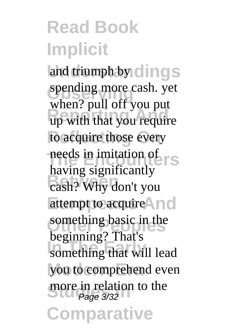and triumph by clings spending more cash. yet which: pair or you put to acquire those every needs in imitation of rs **Between** cash? Why don't you attempt to acquire<sup>4</sup> no something basic in the something that will lead you to comprehend even more in relation to the **Comparative** when? pull off you put having significantly beginning? That's Page 3/32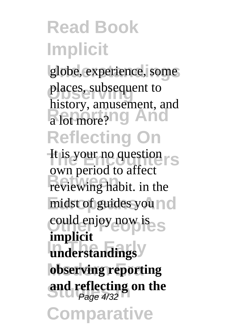globe, experience, some places, subsequent to a lot more? **No. 4 a** lot more? **No. 4 a Reflecting On** history, amusement, and

It is your no question **Between** is an *Between* midst of guides you no could enjoy now is **Inderstandings observing reporting** and reflecting on the **Comparative** own period to affect **implicit**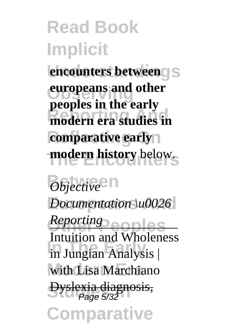**encounters betweenS europeans and other Reporting And modern era studies in comparative early** modern history below. **peoples in the early**

 $\partial$ *bjective*<sup>e</sup>

*Documentation \u0026* 

**Reporting** eoples Intention and Wholeh<br> **in Jungian Analysis** with Lisa Marchiano **Byslexia diagnosis, Comparative** Intuition and Wholeness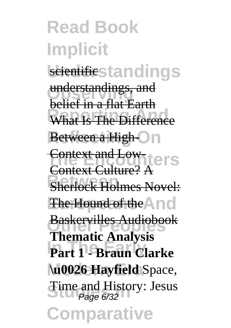**Read Book Implicit** scientificstandings understandings, and **What Is The Difference Between a High-On Context and Low-ters Sherlock Holmes Novel: The Hound of the And** Baskervilles Audiobook **Part 1 - Braun Clarke** \u0026 Hayfield Space, Time and History: Jesus<br>Page 6/32 **Comparative** belief in a flat Earth Context Culture? A **Thematic Analysis**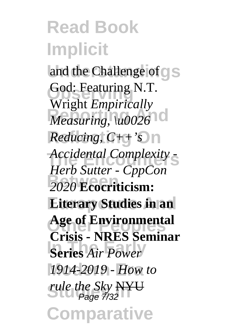and the Challenge of **S** God: Featuring N.T. *Measuring, \u0026* **Reflecting On** *Reducing, C++'s* Accidental Complexity -**Between** *2020* **Ecocriticism: Literary Studies in an** Age of Environmental **Series** *Air Power* **Modern Era** *1914-2019 - How to Fule the Sky* **NYU**<br>*Page 7/32* **Comparative** Wright *Empirically Herb Sutter - CppCon* **Crisis - NRES Seminar** Page 7/32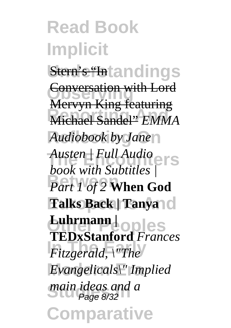**Read Book Implicit Stern's "Intandings Conversation with Lord**<br>Moravy King factoring **Reporting And** Michael Sandel" *EMMA* **Reflecting On** *Audiobook by Jane* Austen | Full Audio<sub>ers</sub> **Between** *Part 1 of 2* **When God Talks Back | Tanya** | C  $L$ uhrmann <sub>|</sub><br> **Luhrmann** |<br> **Luhrmann** |<br> **Luhrmann** | *Fitzgerald, \"The*  $E\nu$ *angelicals\" Implied* main ideas and a<br>Page 8/32 **Comparative** Mervyn King featuring *book with Subtitles |* **TEDxStanford** *Frances* Page 8/32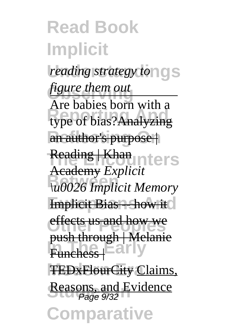*reading strategy to*<sup>10</sup>S *figure them out* **Reporting And** type of bias?Analyzing an author's purpose | **Reading | Khan** unters **Between** *\u0026 Implicit Memory* **Implicit Bias -- how it d** effects us and how we **Funchess** | **arly TEDxFlourCity Claims,** Are babies born with a Academy *Explicit* push through | Melanie

Reasons, and Evidence

**Comparative**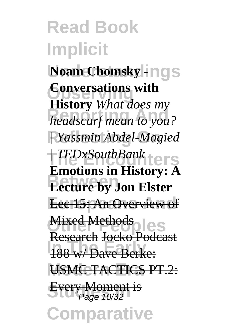**Noam Chomsky +** $\log$ **Conversations with Reporting And** *headscarf mean to you?* **Reflecting On** *| Yassmin Abdel-Magied* **The Encounters** *| TEDxSouthBank* **Between Lecture by Jon Elster Lee 15: An Overview of** Mixed Methods ples **188 w/ Dave Berke: USMC TACTICS PT.2: Every Moment is**<br>Page 10/32 **Comparative History** *What does my* **Emotions in History: A** Research Jocko Podcast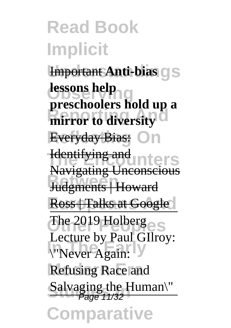#### **Read Book Implicit Important Anti-bias** *OS* **lessons help REPORTING AND THE Everyday Bias: On Hentifying and inters Between** Judgments | Howard **Ross | Talks at Google** The 2019 Holberg **International Property Refusing Race and** Salvaging the Human\" **preschoolers hold up a** Navigating Unconscious Lecture by Paul GIlroy:

**nparati**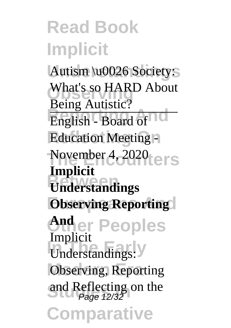**Read Book Implicit** Autism \u0026 Society: What's so HARD About **English - Board of Education Meeting -**November 4, 2020<sub>ters</sub> **Between Understandings Observing Reporting** er Peoples **Inderstandings: Observing, Reporting** and Reflecting on the **Comparative** Being Autistic? **Implicit And** Implicit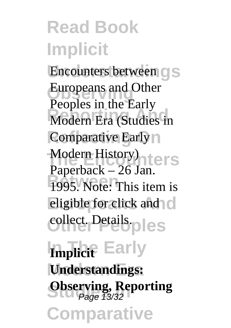**Encounters between C** S Europeans and Other **Represent and Earthly**<br> **Modern Era (Studies in Comparative Early** n Modern History)<br> **Production**<br>
26<br>
<u>Contact</u> 1995. Note: This item is eligible for click and c collect. Details.<sub>ples</sub> Peoples in the Early Paperback – 26 Jan.

**Implicit** Early **Understandings: Subserving, Reporting Comparative**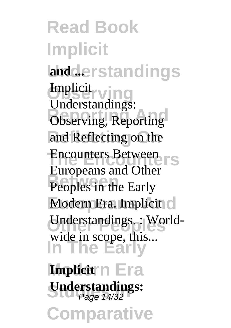**Read Book Implicit landderstandings Implicitying Chaerstandings:**<br>Observing, Reporting **Reflecting On** and Reflecting on the Encounters Between **Between** Peoples in the Early Modern Era. Implicit c Understandings. : World-**In The Early Implicit**<sup>n</sup> Era **Studies In Understandings:** Page 14/32**nparati** Understandings: Europeans and Other wide in scope, this...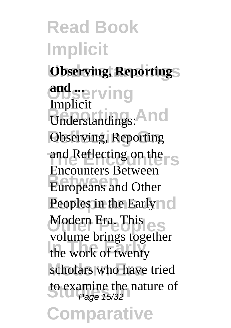**Read Book Implicit Observing, Reportings and** serving **Examples** Understandings: **And Observing, Reporting** and Reflecting on the <sub>S</sub> **Between** Europeans and Other Peoples in the Early no Modern Era. This les the work of twenty scholars who have tried to examine the nature of<br>
Page 15/32 **Comparative** Implicit Encounters Between volume brings together Page 15/32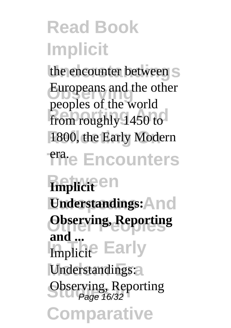the encounter between S Europeans and the other from roughly 1450 to 1800, the Early Modern **The Encounters** peoples of the world

#### **Between**

**Understandings:** And **Other Peoples Observing, Reporting Implicite** Early **Understandings:** Observing, Reporting **Comparative and ...**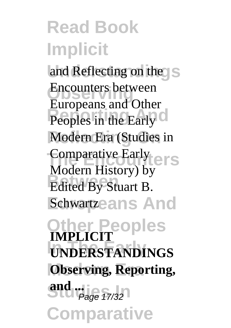and Reflecting on the **Encounters between Reports and Street Modern Era (Studies in Comparative Early**<br>
Modes Uist Early Lers **Between** Edited By Stuart B. **Schwartzeans And Other Peoples In The Early UNDERSTANDINGS Observing, Reporting, and ...**<br>Page 17/32 **Comparative** Europeans and Other Modern History) by **IMPLICIT**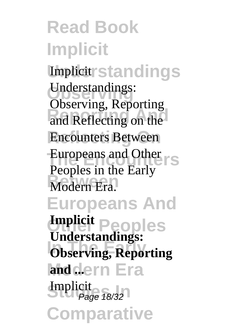**Read Book Implicit Unplicitstandings Observing** Understandings: and Reflecting on the **Encounters Between** Europeans and Other<br> **Europeans Between** Modern Era. **Europeans And Other Peoples Observing, Reporting** and dern Era **Implicit**<br>Page 18/32 **Comparative** Observing, Reporting Peoples in the Early **Implicit Understandings:**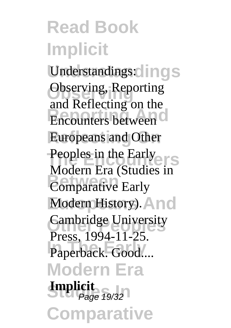**Understandings** Understandings: **Observing** Observing, Reporting **Encounters between Europeans and Other** Peoples in the Early **Between**<br> **Between**Comparative Early Modern History). And Cambridge University Paperback. Good.... **Modern Era Implicit**<br>Page 19/32 **Comparative** and Reflecting on the Modern Era (Studies in Press, 1994-11-25. Page 19/32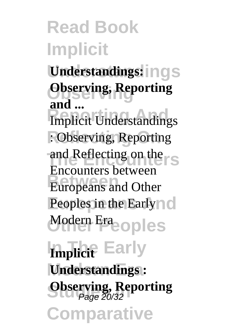**Understandings Understandings: Observing Observing, Reporting** Implicit Understandings **and ...**

: Observing, Reporting and Reflecting on the <sub>S</sub> **Between** Europeans and Other Peoples in the Early no Modern Era<sub>e Oples</sub> Encounters between

**Implicit** Early **Understandings: Subserving, Reporting Comparative**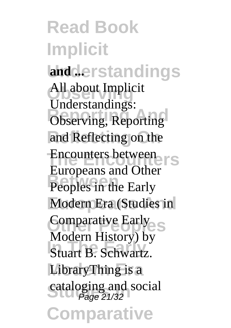**Read Book Implicit landderstandings Observing** All about Implicit **Chaerstandings:**<br>Observing, Reporting **Reflecting On** and Reflecting on the Encounters between **Between** Peoples in the Early **Modern Era (Studies in Comparative Early In The Early** LibraryThing is a cataloging and social<br>Page 21/32 **Comparative** Understandings: Europeans and Other Modern History) by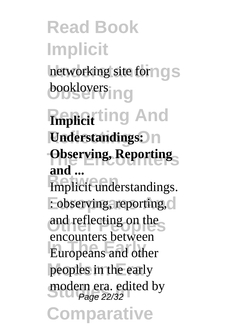# **Read Book Implicit** networking site for **ngs** booklovers in g

**Reporting And Implicit Understandings: Observing, Reporting Emplicit understandings.** : observing, reporting, c and reflecting on the **Europeans and other** peoples in the early modern era. edited by<br>Page 22/32 **Comparative and ...** encounters between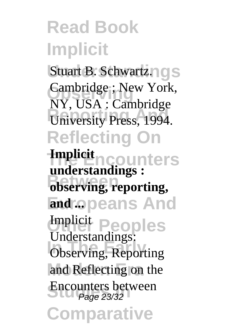Stuart B. Schwartz.ngs Cambridge ; New York, **The State Community Press, 1994. Reflecting On** NY, USA : Cambridge

**Inters Between observing, reporting,**  $\overline{\mathbf{a}}$  **and ...** opeans And **Other Peoples Observing, Reporting** and Reflecting on the **Stream**<br>*Page 23/32* **Comparative Implicit understandings :** Implicit Understandings: Encounters between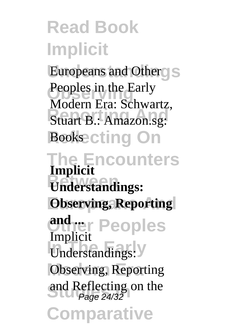**Europeans and Other S** Peoples in the Early **REPORTING AND STRUCKS Booksecting On** Modern Era: Schwartz,

**The Encounters Between Understandings: Observing, Reporting** *<u>Other Peoples</u>* **Understandings: Observing, Reporting** and Reflecting on the **Comparative Implicit** Implicit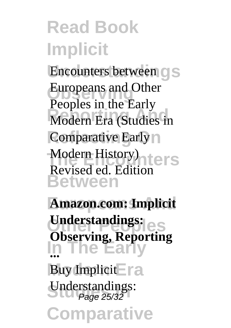**Encounters between C** S Europeans and Other **Represent and Earthly**<br> **Modern Era (Studies in Comparative Early** n Modern History)<br> **Particular Editions Between** Peoples in the Early Revised ed. Edition

**Europeans And Amazon.com: Implicit Understandings:**<br>Change People **In The Early ...** Buy Implicit<sup>-</sup>ra **Understandings:**<br>Page 25/32 **Comparative Understandings: Observing, Reporting**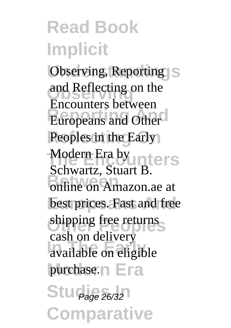**Observing, Reporting** S and Reflecting on the **Europeans and Other** Peoples in the Early Modern Era by **Inters Betware**, Braac B.<br> **between** best prices. Fast and free shipping free returns available on eligible purchase.n Era **Studies** 26/32 **Comparative** Encounters between Modern Era by<br>Schwartz, Stuart B. cash on delivery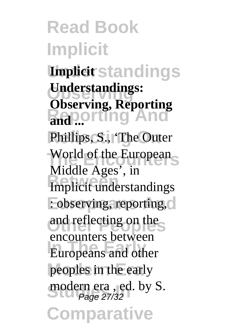**Read Book Implicit** *<u>Implicitstandings</u>* **Observing Understandings: Reporting And** Phillips, S., 'The Outer World of the European<sub>S</sub> **Implicit understandings** : observing, reporting, c and reflecting on the **Europeans and other** peoples in the early modern era , ed. by S.<br>Page 27/32 **nparati Observing, Reporting** Middle Ages', in encounters between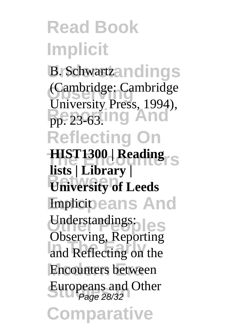B. Schwartzandings (Cambridge: Cambridge)<br>University **Press** 1004) **Reporting And** pp. 23-63. **Reflecting On** University Press, 1994),

**HIST1300 | Reading Between University of Leeds Emplicipeans And** Understandings:<br>
Older Peoples and Reflecting on the **Encounters between** Europeans and Other<br>Page 28/32 **Comparative lists | Library |** Observing, Reporting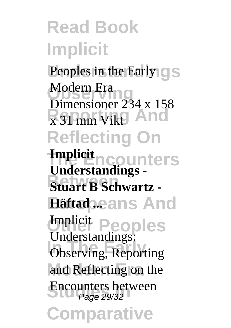Peoples in the Early **CIS** Modern Era<br>Dimensioner 234 x 158 **Reports And Reflecting On Inters Between Stuart B Schwartz - Häftad ...** ans And **Poples Observing, Reporting** and Reflecting on the **Stream**<br>*Page 29/32* **Comparative** Modern Era **Implicit Understandings -** Implicit Understandings: Encounters between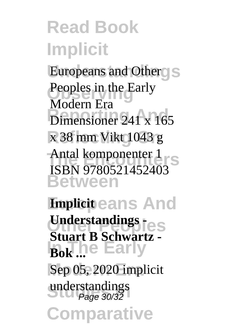**Europeans and Other S** Peoples in the Early **Reporting And** Dimensioner 241 x 165 **Reflecting On** x 38 mm Vikt 1043 g Antal komponenter 1<br> **TSPN 0790521452492 Between** Modern Era ISBN 9780521452403

**Empliciteans And Understandings Les Bok ...**<br> **Bok ...**<br> **Early** Sep 05, 2020 implicit **understandings**<br>Page 30/32 **Comparative Stuart B Schwartz**  understandings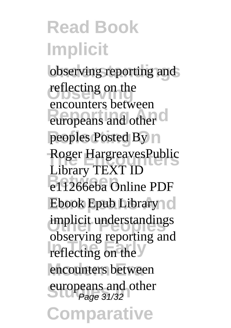observing reporting and reflecting on the europeans and other<sup>or</sup> peoples Posted By n Roger HargreavesPublic **Between** e11266eba Online PDF Ebook Epub Library implicit understandings reflecting on the Y encounters between europeans and other<br>Page 31/32 **Comparative** encounters between Library TEXT ID observing reporting and